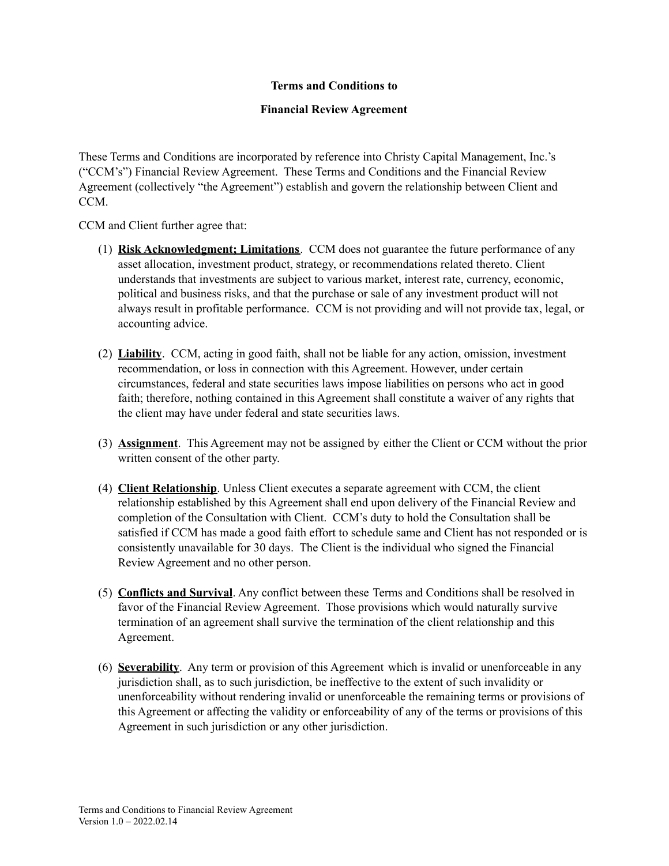## **Terms and Conditions to**

## **Financial Review Agreement**

These Terms and Conditions are incorporated by reference into Christy Capital Management, Inc.'s ("CCM's") Financial Review Agreement. These Terms and Conditions and the Financial Review Agreement (collectively "the Agreement") establish and govern the relationship between Client and CCM.

CCM and Client further agree that:

- (1) **Risk Acknowledgment; Limitations**. CCM does not guarantee the future performance of any asset allocation, investment product, strategy, or recommendations related thereto. Client understands that investments are subject to various market, interest rate, currency, economic, political and business risks, and that the purchase or sale of any investment product will not always result in profitable performance. CCM is not providing and will not provide tax, legal, or accounting advice.
- (2) **Liability**. CCM, acting in good faith, shall not be liable for any action, omission, investment recommendation, or loss in connection with this Agreement. However, under certain circumstances, federal and state securities laws impose liabilities on persons who act in good faith; therefore, nothing contained in this Agreement shall constitute a waiver of any rights that the client may have under federal and state securities laws.
- (3) **Assignment**. This Agreement may not be assigned by either the Client or CCM without the prior written consent of the other party.
- (4) **Client Relationship**. Unless Client executes a separate agreement with CCM, the client relationship established by this Agreement shall end upon delivery of the Financial Review and completion of the Consultation with Client. CCM's duty to hold the Consultation shall be satisfied if CCM has made a good faith effort to schedule same and Client has not responded or is consistently unavailable for 30 days. The Client is the individual who signed the Financial Review Agreement and no other person.
- (5) **Conflicts and Survival**. Any conflict between these Terms and Conditions shall be resolved in favor of the Financial Review Agreement. Those provisions which would naturally survive termination of an agreement shall survive the termination of the client relationship and this Agreement.
- (6) **Severability**. Any term or provision of this Agreement which is invalid or unenforceable in any jurisdiction shall, as to such jurisdiction, be ineffective to the extent of such invalidity or unenforceability without rendering invalid or unenforceable the remaining terms or provisions of this Agreement or affecting the validity or enforceability of any of the terms or provisions of this Agreement in such jurisdiction or any other jurisdiction.